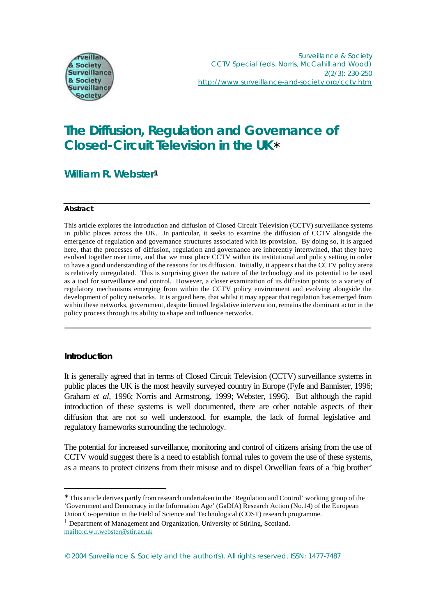

# **The Diffusion, Regulation and Governance of Closed-Circuit Television in the UK\***

## **William R. Webster<sup>1</sup>**

### **Abstract**

This article explores the introduction and diffusion of Closed Circuit Television (CCTV) surveillance systems in public places across the UK. In particular, it seeks to examine the diffusion of CCTV alongside the emergence of regulation and governance structures associated with its provision. By doing so, it is argued here, that the processes of diffusion, regulation and governance are inherently intertwined, that they have evolved together over time, and that we must place CCTV within its institutional and policy setting in order to have a good understanding of the reasons for its diffusion. Initially, it appears t hat the CCTV policy arena is relatively unregulated. This is surprising given the nature of the technology and its potential to be used as a tool for surveillance and control. However, a closer examination of its diffusion points to a variety of regulatory mechanisms emerging from within the CCTV policy environment and evolving alongside the development of policy networks. It is argued here, that whilst it may appear that regulation has emerged from within these networks, government, despite limited legislative intervention, remains the dominant actor in the policy process through its ability to shape and influence networks.

## **Introduction**

l

It is generally agreed that in terms of Closed Circuit Television (CCTV) surveillance systems in public places the UK is the most heavily surveyed country in Europe (Fyfe and Bannister, 1996; Graham *et al,* 1996; Norris and Armstrong, 1999; Webster, 1996). But although the rapid introduction of these systems is well documented, there are other notable aspects of their diffusion that are not so well understood, for example, the lack of formal legislative and regulatory frameworks surrounding the technology.

The potential for increased surveillance, monitoring and control of citizens arising from the use of CCTV would suggest there is a need to establish formal rules to govern the use of these systems, as a means to protect citizens from their misuse and to dispel Orwellian fears of a 'big brother'

```
<sup>1</sup> Department of Management and Organization, University of Stirling, Scotland.
mailto:c.w.r.webster@stir.ac.uk
```
<sup>∗</sup> This article derives partly from research undertaken in the 'Regulation and Control' working group of the 'Government and Democracy in the Information Age' (GaDIA) Research Action (No.14) of the European Union Co-operation in the Field of Science and Technological (COST) research programme.

<sup>© 2004</sup> *Surveillance & Society* and the author(s). All rights reserved. ISSN: 1477-7487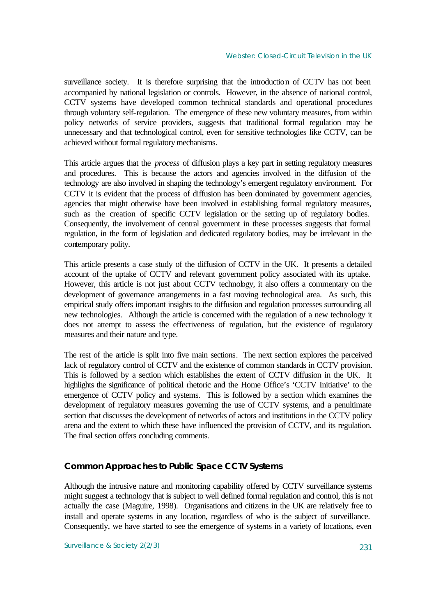surveillance society. It is therefore surprising that the introduction of CCTV has not been accompanied by national legislation or controls. However, in the absence of national control, CCTV systems have developed common technical standards and operational procedures through voluntary self-regulation. The emergence of these new voluntary measures, from within policy networks of service providers, suggests that traditional formal regulation may be unnecessary and that technological control, even for sensitive technologies like CCTV, can be achieved without formal regulatory mechanisms.

This article argues that the *process* of diffusion plays a key part in setting regulatory measures and procedures. This is because the actors and agencies involved in the diffusion of the technology are also involved in shaping the technology's emergent regulatory environment. For CCTV it is evident that the process of diffusion has been dominated by government agencies, agencies that might otherwise have been involved in establishing formal regulatory measures, such as the creation of specific CCTV legislation or the setting up of regulatory bodies. Consequently, the involvement of central government in these processes suggests that formal regulation, in the form of legislation and dedicated regulatory bodies, may be irrelevant in the contemporary polity.

This article presents a case study of the diffusion of CCTV in the UK. It presents a detailed account of the uptake of CCTV and relevant government policy associated with its uptake. However, this article is not just about CCTV technology, it also offers a commentary on the development of governance arrangements in a fast moving technological area. As such, this empirical study offers important insights to the diffusion and regulation processes surrounding all new technologies. Although the article is concerned with the regulation of a new technology it does not attempt to assess the effectiveness of regulation, but the existence of regulatory measures and their nature and type.

The rest of the article is split into five main sections. The next section explores the perceived lack of regulatory control of CCTV and the existence of common standards in CCTV provision. This is followed by a section which establishes the extent of CCTV diffusion in the UK. It highlights the significance of political rhetoric and the Home Office's 'CCTV Initiative' to the emergence of CCTV policy and systems. This is followed by a section which examines the development of regulatory measures governing the use of CCTV systems, and a penultimate section that discusses the development of networks of actors and institutions in the CCTV policy arena and the extent to which these have influenced the provision of CCTV, and its regulation. The final section offers concluding comments.

## **Common Approaches to Public Space CCTV Systems**

Although the intrusive nature and monitoring capability offered by CCTV surveillance systems might suggest a technology that is subject to well defined formal regulation and control, this is not actually the case (Maguire, 1998). Organisations and citizens in the UK are relatively free to install and operate systems in any location, regardless of who is the subject of surveillance. Consequently, we have started to see the emergence of systems in a variety of locations, even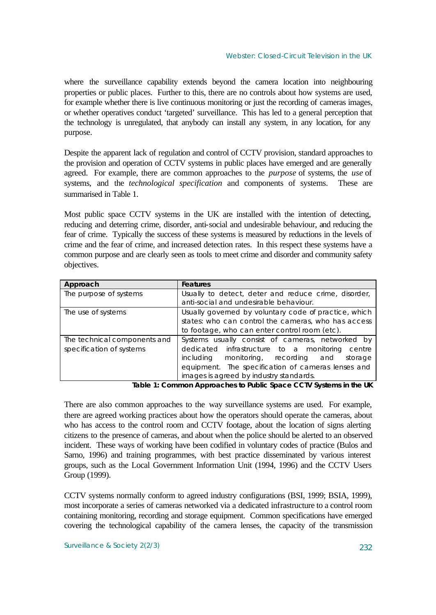where the surveillance capability extends beyond the camera location into neighbouring properties or public places. Further to this, there are no controls about how systems are used, for example whether there is live continuous monitoring or just the recording of cameras images, or whether operatives conduct 'targeted' surveillance. This has led to a general perception that the technology is unregulated, that anybody can install any system, in any location, for any purpose.

Despite the apparent lack of regulation and control of CCTV provision, standard approaches to the provision and operation of CCTV systems in public places have emerged and are generally agreed. For example, there are common approaches to the *purpose* of systems, the *use* of systems, and the *technological specification* and components of systems. These are summarised in Table 1.

Most public space CCTV systems in the UK are installed with the intention of detecting, reducing and deterring crime, disorder, anti-social and undesirable behaviour, and reducing the fear of crime. Typically the success of these systems is measured by reductions in the levels of crime and the fear of crime, and increased detection rates. In this respect these systems have a common purpose and are clearly seen as tools to meet crime and disorder and community safety objectives.

| Approach                                                 | <b>Features</b>                                                                                                                                                                                                                                                 |  |
|----------------------------------------------------------|-----------------------------------------------------------------------------------------------------------------------------------------------------------------------------------------------------------------------------------------------------------------|--|
| The purpose of systems                                   | Usually to detect, deter and reduce crime, disorder,<br>anti-social and undesirable behaviour.                                                                                                                                                                  |  |
| The use of systems                                       | Usually governed by voluntary code of practice, which<br>states: who can control the cameras, who has access<br>to footage, who can enter control room (etc).                                                                                                   |  |
| The technical components and<br>specification of systems | Systems usually consist of cameras, networked by<br>dedicated infrastructure to a monitoring<br>centre<br>monitoring, recording<br>including<br>and<br>storage<br>equipment. The specification of cameras lenses and<br>images is agreed by industry standards. |  |

**Table 1:** *Common Approaches to Public Space CCTV Systems in the UK*

There are also common approaches to the way surveillance systems are used. For example, there are agreed working practices about how the operators should operate the cameras, about who has access to the control room and CCTV footage, about the location of signs alerting citizens to the presence of cameras, and about when the police should be alerted to an observed incident. These ways of working have been codified in voluntary codes of practice (Bulos and Sarno, 1996) and training programmes, with best practice disseminated by various interest groups, such as the Local Government Information Unit (1994, 1996) and the CCTV Users Group (1999).

CCTV systems normally conform to agreed industry configurations (BSI, 1999; BSIA, 1999), most incorporate a series of cameras networked via a dedicated infrastructure to a control room containing monitoring, recording and storage equipment. Common specifications have emerged covering the technological capability of the camera lenses, the capacity of the transmission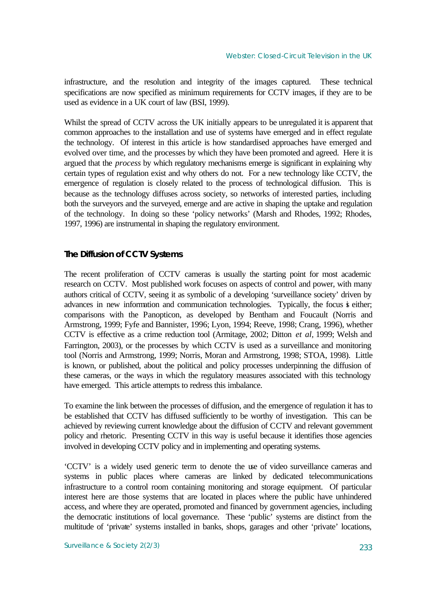infrastructure, and the resolution and integrity of the images captured. These technical specifications are now specified as minimum requirements for CCTV images, if they are to be used as evidence in a UK court of law (BSI, 1999).

Whilst the spread of CCTV across the UK initially appears to be unregulated it is apparent that common approaches to the installation and use of systems have emerged and in effect regulate the technology. Of interest in this article is how standardised approaches have emerged and evolved over time, and the processes by which they have been promoted and agreed. Here it is argued that the *process* by which regulatory mechanisms emerge is significant in explaining why certain types of regulation exist and why others do not. For a new technology like CCTV, the emergence of regulation is closely related to the process of technological diffusion. This is because as the technology diffuses across society, so networks of interested parties, including both the surveyors and the surveyed, emerge and are active in shaping the uptake and regulation of the technology. In doing so these 'policy networks' (Marsh and Rhodes, 1992; Rhodes, 1997, 1996) are instrumental in shaping the regulatory environment.

## **The Diffusion of CCTV Systems**

The recent proliferation of CCTV cameras is usually the starting point for most academic research on CCTV. Most published work focuses on aspects of control and power, with many authors critical of CCTV, seeing it as symbolic of a developing 'surveillance society' driven by advances in new information and communication technologies. Typically, the focus is either; comparisons with the Panopticon, as developed by Bentham and Foucault (Norris and Armstrong, 1999; Fyfe and Bannister, 1996; Lyon, 1994; Reeve, 1998; Crang, 1996), whether CCTV is effective as a crime reduction tool (Armitage, 2002; Ditton *et al,* 1999; Welsh and Farrington, 2003), or the processes by which CCTV is used as a surveillance and monitoring tool (Norris and Armstrong, 1999; Norris, Moran and Armstrong, 1998; STOA, 1998). Little is known, or published, about the political and policy processes underpinning the diffusion of these cameras, or the ways in which the regulatory measures associated with this technology have emerged. This article attempts to redress this imbalance.

To examine the link between the processes of diffusion, and the emergence of regulation it has to be established that CCTV has diffused sufficiently to be worthy of investigation. This can be achieved by reviewing current knowledge about the diffusion of CCTV and relevant government policy and rhetoric. Presenting CCTV in this way is useful because it identifies those agencies involved in developing CCTV policy and in implementing and operating systems.

'CCTV' is a widely used generic term to denote the use of video surveillance cameras and systems in public places where cameras are linked by dedicated telecommunications infrastructure to a control room containing monitoring and storage equipment. Of particular interest here are those systems that are located in places where the public have unhindered access, and where they are operated, promoted and financed by government agencies, including the democratic institutions of local governance. These 'public' systems are distinct from the multitude of 'private' systems installed in banks, shops, garages and other 'private' locations,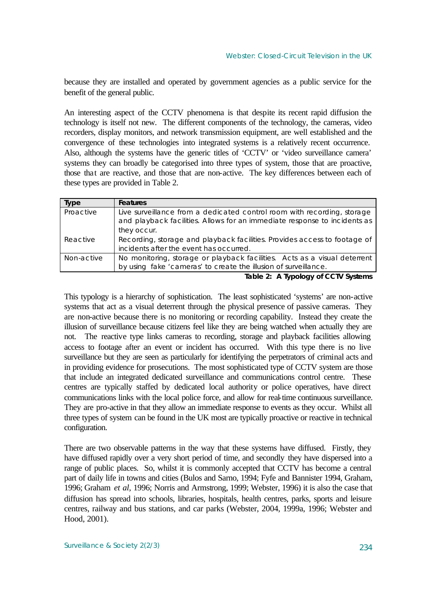because they are installed and operated by government agencies as a public service for the benefit of the general public.

An interesting aspect of the CCTV phenomena is that despite its recent rapid diffusion the technology is itself not new. The different components of the technology, the cameras, video recorders, display monitors, and network transmission equipment, are well established and the convergence of these technologies into integrated systems is a relatively recent occurrence. Also, although the systems have the generic titles of 'CCTV' or 'video surveillance camera' systems they can broadly be categorised into three types of system, those that are proactive, those that are reactive, and those that are non-active. The key differences between each of these types are provided in Table 2.

| Type       | <b>Features</b>                                                           |  |
|------------|---------------------------------------------------------------------------|--|
| Proactive  | Live surveillance from a dedicated control room with recording, storage   |  |
|            | and playback facilities. Allows for an immediate response to incidents as |  |
|            | they occur.                                                               |  |
| Reactive   | Recording, storage and playback facilities. Provides access to footage of |  |
|            | incidents after the event has occurred.                                   |  |
| Non-active | No monitoring, storage or playback facilities. Acts as a visual deterrent |  |
|            | by using fake 'cameras' to create the illusion of surveillance.           |  |

**Table 2:** *A Typology of CCTV Systems*

This typology is a hierarchy of sophistication. The least sophisticated 'systems' are non-active systems that act as a visual deterrent through the physical presence of passive cameras. They are non-active because there is no monitoring or recording capability. Instead they create the illusion of surveillance because citizens feel like they are being watched when actually they are not. The reactive type links cameras to recording, storage and playback facilities allowing access to footage after an event or incident has occurred. With this type there is no live surveillance but they are seen as particularly for identifying the perpetrators of criminal acts and in providing evidence for prosecutions. The most sophisticated type of CCTV system are those that include an integrated dedicated surveillance and communications control centre. These centres are typically staffed by dedicated local authority or police operatives, have direct communications links with the local police force, and allow for real-time continuous surveillance. They are pro-active in that they allow an immediate response to events as they occur. Whilst all three types of system can be found in the UK most are typically proactive or reactive in technical configuration.

There are two observable patterns in the way that these systems have diffused. Firstly, they have diffused rapidly over a very short period of time, and secondly they have dispersed into a range of public places. So, whilst it is commonly accepted that CCTV has become a central part of daily life in towns and cities (Bulos and Sarno, 1994; Fyfe and Bannister 1994, Graham, 1996; Graham *et al,* 1996; Norris and Armstrong, 1999; Webster, 1996) it is also the case that diffusion has spread into schools, libraries, hospitals, health centres, parks, sports and leisure centres, railway and bus stations, and car parks (Webster, 2004, 1999a, 1996; Webster and Hood, 2001).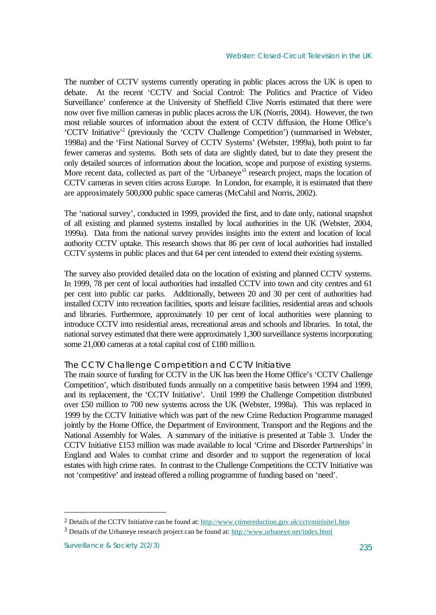The number of CCTV systems currently operating in public places across the UK is open to debate. At the recent 'CCTV and Social Control: The Politics and Practice of Video Surveillance' conference at the University of Sheffield Clive Norris estimated that there were now over five million cameras in public places across the UK (Norris, 2004). However, the two most reliable sources of information about the extent of CCTV diffusion, the Home Office's 'CCTV Initiative'<sup>2</sup> (previously the 'CCTV Challenge Competition') (summarised in Webster, 1998a) and the 'First National Survey of CCTV Systems' (Webster, 1999a), both point to far fewer cameras and systems. Both sets of data are slightly dated, but to date they present the only detailed sources of information about the location, scope and purpose of existing systems. More recent data, collected as part of the 'Urbaneye'<sup>3</sup> research project, maps the location of CCTV cameras in seven cities across Europe. In London, for example, it is estimated that there are approximately 500,000 public space cameras (McCahil and Norris, 2002).

The 'national survey', conducted in 1999, provided the first, and to date only, national snapshot of all existing and planned systems installed by local authorities in the UK (Webster, 2004, 1999a). Data from the national survey provides insights into the extent and location of local authority CCTV uptake. This research shows that 86 per cent of local authorities had installed CCTV systems in public places and that 64 per cent intended to extend their existing systems.

The survey also provided detailed data on the location of existing and planned CCTV systems. In 1999, 78 per cent of local authorities had installed CCTV into town and city centres and 61 per cent into public car parks. Additionally, between 20 and 30 per cent of authorities had installed CCTV into recreation facilities, sports and leisure facilities, residential areas and schools and libraries. Furthermore, approximately 10 per cent of local authorities were planning to introduce CCTV into residential areas, recreational areas and schools and libraries. In total, the national survey estimated that there were approximately 1,300 surveillance systems incorporating some 21,000 cameras at a total capital cost of £180 million.

## *The CCTV Challenge Competition and CCTV Initiative*

The main source of funding for CCTV in the UK has been the Home Office's 'CCTV Challenge Competition', which distributed funds annually on a competitive basis between 1994 and 1999, and its replacement, the 'CCTV Initiative'. Until 1999 the Challenge Competition distributed over £50 million to 700 new systems across the UK (Webster, 1998a). This was replaced in 1999 by the CCTV Initiative which was part of the new Crime Reduction Programme managed jointly by the Home Office, the Department of Environment, Transport and the Regions and the National Assembly for Wales. A summary of the initiative is presented at Table 3. Under the CCTV Initiative £153 million was made available to local 'Crime and Disorder Partnerships' in England and Wales to combat crime and disorder and to support the regeneration of local estates with high crime rates. In contrast to the Challenge Competitions the CCTV Initiative was not 'competitive' and instead offered a rolling programme of funding based on 'need'.

1

<sup>2</sup> Details of the CCTV Initiative can be found at:<http://www.crimereduction.gov.uk/cctvminisite1.htm>

<sup>&</sup>lt;sup>3</sup> Details of the Urbaneye research project can be found at:<http://www.urbaneye.net/index.html>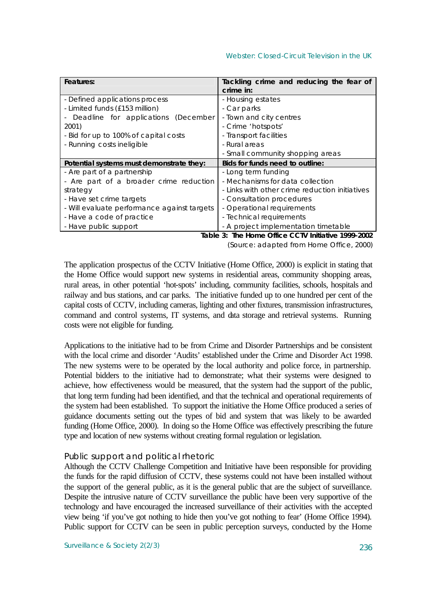| Features:                                   | Tackling crime and reducing the fear of            |
|---------------------------------------------|----------------------------------------------------|
|                                             | crime in:                                          |
| - Defined applications process              | - Housing estates                                  |
| - Limited funds (£153 million)              | - Car parks                                        |
| Deadline for applications (December         | - Town and city centres                            |
| 2001)                                       | - Crime 'hotspots'                                 |
| - Bid for up to 100% of capital costs       | - Transport facilities                             |
| - Running costs ineligible                  | - Rural areas                                      |
|                                             | - Small community shopping areas                   |
| Potential systems must demonstrate they:    | Bids for funds need to outline:                    |
| - Are part of a partnership                 | - Long term funding                                |
| - Are part of a broader crime reduction     | - Mechanisms for data collection                   |
| strategy                                    | - Links with other crime reduction initiatives     |
| - Have set crime targets                    | - Consultation procedures                          |
| - Will evaluate performance against targets | - Operational requirements                         |
| - Have a code of practice                   | - Technical requirements                           |
| - Have public support                       | - A project implementation timetable               |
|                                             | Table 3: The Hame Office CCTV Initiative 1000 2002 |

**Table 3:** *The Home Office CCTV Initiative 1999-2002* (Source: adapted from Home Office, 2000)

The application prospectus of the CCTV Initiative (Home Office, 2000) is explicit in stating that the Home Office would support new systems in residential areas, community shopping areas, rural areas, in other potential 'hot-spots' including, community facilities, schools, hospitals and railway and bus stations, and car parks. The initiative funded up to one hundred per cent of the capital costs of CCTV, including cameras, lighting and other fixtures, transmission infrastructures, command and control systems, IT systems, and data storage and retrieval systems. Running costs were not eligible for funding.

Applications to the initiative had to be from Crime and Disorder Partnerships and be consistent with the local crime and disorder 'Audits' established under the Crime and Disorder Act 1998. The new systems were to be operated by the local authority and police force, in partnership. Potential bidders to the initiative had to demonstrate; what their systems were designed to achieve, how effectiveness would be measured, that the system had the support of the public, that long term funding had been identified, and that the technical and operational requirements of the system had been established. To support the initiative the Home Office produced a series of guidance documents setting out the types of bid and system that was likely to be awarded funding (Home Office, 2000). In doing so the Home Office was effectively prescribing the future type and location of new systems without creating formal regulation or legislation.

## *Public support and political rhetoric*

Although the CCTV Challenge Competition and Initiative have been responsible for providing the funds for the rapid diffusion of CCTV, these systems could not have been installed without the support of the general public, as it is the general public that are the subject of surveillance. Despite the intrusive nature of CCTV surveillance the public have been very supportive of the technology and have encouraged the increased surveillance of their activities with the accepted view being 'if you've got nothing to hide then you've got nothing to fear' (Home Office 1994). Public support for CCTV can be seen in public perception surveys, conducted by the Home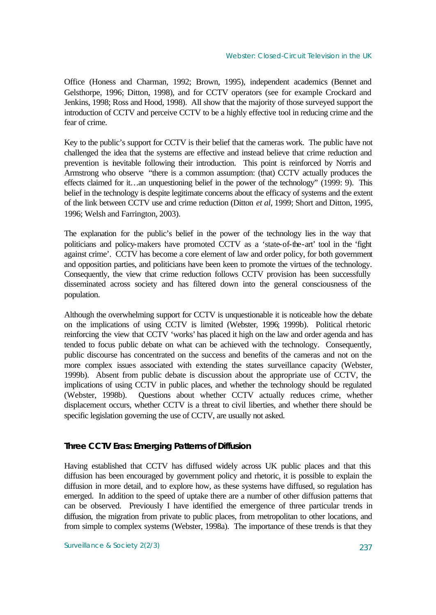Office (Honess and Charman, 1992; Brown, 1995), independent academics (Bennet and Gelsthorpe, 1996; Ditton, 1998), and for CCTV operators (see for example Crockard and Jenkins, 1998; Ross and Hood, 1998). All show that the majority of those surveyed support the introduction of CCTV and perceive CCTV to be a highly effective tool in reducing crime and the fear of crime.

Key to the public's support for CCTV is their belief that the cameras work. The public have not challenged the idea that the systems are effective and instead believe that crime reduction and prevention is inevitable following their introduction. This point is reinforced by Norris and Armstrong who observe "there is a common assumption: (that) CCTV actually produces the effects claimed for it…an unquestioning belief in the power of the technology" (1999: 9). This belief in the technology is despite legitimate concerns about the efficacy of systems and the extent of the link between CCTV use and crime reduction (Ditton *et al,* 1999; Short and Ditton, 1995, 1996; Welsh and Farrington, 2003).

The explanation for the public's belief in the power of the technology lies in the way that politicians and policy-makers have promoted CCTV as a 'state-of-the-art' tool in the 'fight against crime'. CCTV has become a core element of law and order policy, for both government and opposition parties, and politicians have been keen to promote the virtues of the technology. Consequently, the view that crime reduction follows CCTV provision has been successfully disseminated across society and has filtered down into the general consciousness of the population.

Although the overwhelming support for CCTV is unquestionable it is noticeable how the debate on the implications of using CCTV is limited (Webster, 1996; 1999b). Political rhetoric reinforcing the view that CCTV 'works' has placed it high on the law and order agenda and has tended to focus public debate on what can be achieved with the technology. Consequently, public discourse has concentrated on the success and benefits of the cameras and not on the more complex issues associated with extending the states surveillance capacity (Webster, 1999b). Absent from public debate is discussion about the appropriate use of CCTV, the implications of using CCTV in public places, and whether the technology should be regulated (Webster, 1998b). Questions about whether CCTV actually reduces crime, whether displacement occurs, whether CCTV is a threat to civil liberties, and whether there should be specific legislation governing the use of CCTV, are usually not asked.

## **Three CCTV Eras: Emerging Patterns of Diffusion**

Having established that CCTV has diffused widely across UK public places and that this diffusion has been encouraged by government policy and rhetoric, it is possible to explain the diffusion in more detail, and to explore how, as these systems have diffused, so regulation has emerged. In addition to the speed of uptake there are a number of other diffusion patterns that can be observed. Previously I have identified the emergence of three particular trends in diffusion, the migration from private to public places, from metropolitan to other locations, and from simple to complex systems (Webster, 1998a). The importance of these trends is that they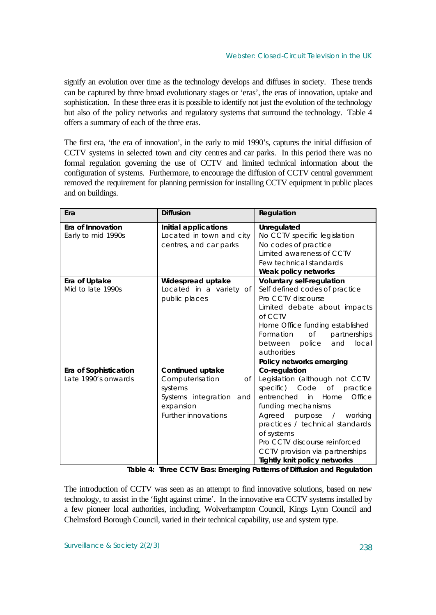signify an evolution over time as the technology develops and diffuses in society. These trends can be captured by three broad evolutionary stages or 'eras', the eras of innovation, uptake and sophistication. In these three eras it is possible to identify not just the evolution of the technology but also of the policy networks and regulatory systems that surround the technology. Table 4 offers a summary of each of the three eras.

The first era, 'the era of innovation', in the early to mid 1990's, captures the initial diffusion of CCTV systems in selected town and city centres and car parks. In this period there was no formal regulation governing the use of CCTV and limited technical information about the configuration of systems. Furthermore, to encourage the diffusion of CCTV central government removed the requirement for planning permission for installing CCTV equipment in public places and on buildings.

| Era                                          | <b>Diffusion</b>                                                                                                                     | Regulation                                                                                                                                                                                                                                                                                                                        |
|----------------------------------------------|--------------------------------------------------------------------------------------------------------------------------------------|-----------------------------------------------------------------------------------------------------------------------------------------------------------------------------------------------------------------------------------------------------------------------------------------------------------------------------------|
| Era of Innovation<br>Early to mid 1990s      | Initial applications<br>Located in town and city<br>centres, and car parks                                                           | Unregulated<br>No CCTV specific legislation<br>No codes of practice<br>Limited awareness of CCTV<br>Few technical standards<br>Weak policy networks                                                                                                                                                                               |
| Era of Uptake<br>Mid to late 1990s           | Widespread uptake<br>Located in a variety of<br>public places                                                                        | <b>Voluntary self-regulation</b><br>Self defined codes of practice<br>Pro CCTV discourse<br>Limited debate about impacts<br>of CCTV<br>Home Office funding established<br>Formation<br>$\circ$ f<br>partnerships<br>local<br>police<br>and<br>between<br>authorities<br>Policy networks emerging                                  |
| Era of Sophistication<br>Late 1990's onwards | <b>Continued uptake</b><br>Computerisation<br>Оf<br>systems<br>Systems integration<br>and<br>expansion<br><b>Further innovations</b> | Co-regulation<br>Legislation (although not CCTV<br>specific) Code of practice<br>entrenched<br>Office<br>in<br>Home<br>funding mechanisms<br>Agreed purpose / working<br>practices / technical standards<br>of systems<br>Pro CCTV discourse reinforced<br>CCTV provision via partnerships<br><b>Tightly knit policy networks</b> |

**Table 4:** *Three CCTV Eras: Emerging Patterns of Diffusion and Regulation*

The introduction of CCTV was seen as an attempt to find innovative solutions, based on new technology, to assist in the 'fight against crime'. In the innovative era CCTV systems installed by a few pioneer local authorities, including, Wolverhampton Council, Kings Lynn Council and Chelmsford Borough Council, varied in their technical capability, use and system type.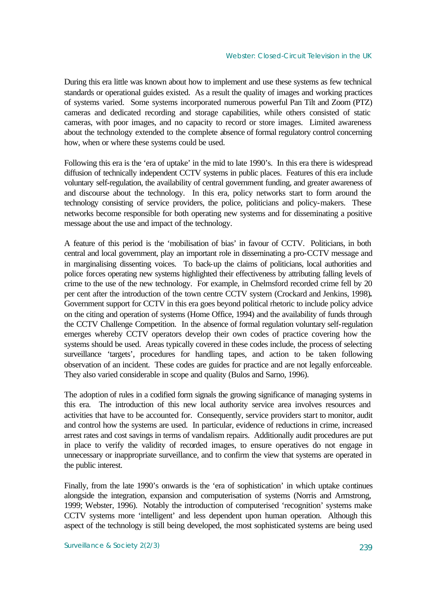During this era little was known about how to implement and use these systems as few technical standards or operational guides existed. As a result the quality of images and working practices of systems varied. Some systems incorporated numerous powerful Pan Tilt and Zoom (PTZ) cameras and dedicated recording and storage capabilities, while others consisted of static cameras, with poor images, and no capacity to record or store images. Limited awareness about the technology extended to the complete absence of formal regulatory control concerning how, when or where these systems could be used.

Following this era is the 'era of uptake' in the mid to late 1990's. In this era there is widespread diffusion of technically independent CCTV systems in public places. Features of this era include voluntary self-regulation, the availability of central government funding, and greater awareness of and discourse about the technology. In this era, policy networks start to form around the technology consisting of service providers, the police, politicians and policy-makers. These networks become responsible for both operating new systems and for disseminating a positive message about the use and impact of the technology.

A feature of this period is the 'mobilisation of bias' in favour of CCTV. Politicians, in both central and local government, play an important role in disseminating a pro-CCTV message and in marginalising dissenting voices. To back-up the claims of politicians, local authorities and police forces operating new systems highlighted their effectiveness by attributing falling levels of crime to the use of the new technology. For example, in Chelmsford recorded crime fell by 20 per cent after the introduction of the town centre CCTV system (Crockard and Jenkins, 1998)*.* Government support for CCTV in this era goes beyond political rhetoric to include policy advice on the citing and operation of systems (Home Office, 1994) and the availability of funds through the CCTV Challenge Competition. In the absence of formal regulation voluntary self-regulation emerges whereby CCTV operators develop their own codes of practice covering how the systems should be used. Areas typically covered in these codes include, the process of selecting surveillance 'targets', procedures for handling tapes, and action to be taken following observation of an incident. These codes are guides for practice and are not legally enforceable. They also varied considerable in scope and quality (Bulos and Sarno, 1996).

The adoption of rules in a codified form signals the growing significance of managing systems in this era. The introduction of this new local authority service area involves resources and activities that have to be accounted for. Consequently, service providers start to monitor, audit and control how the systems are used. In particular, evidence of reductions in crime, increased arrest rates and cost savings in terms of vandalism repairs. Additionally audit procedures are put in place to verify the validity of recorded images, to ensure operatives do not engage in unnecessary or inappropriate surveillance, and to confirm the view that systems are operated in the public interest.

Finally, from the late 1990's onwards is the 'era of sophistication' in which uptake continues alongside the integration, expansion and computerisation of systems (Norris and Armstrong, 1999; Webster, 1996). Notably the introduction of computerised 'recognition' systems make CCTV systems more 'intelligent' and less dependent upon human operation. Although this aspect of the technology is still being developed, the most sophisticated systems are being used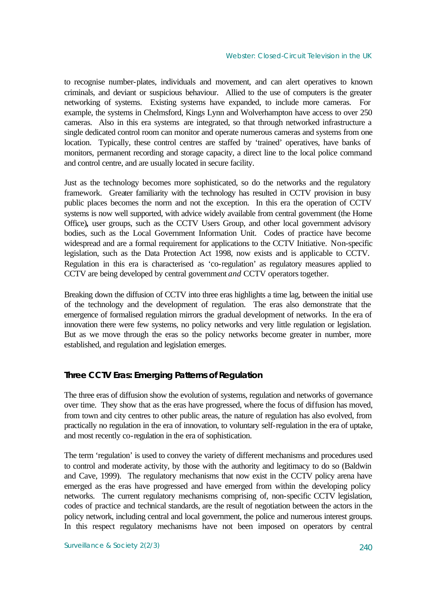to recognise number-plates, individuals and movement, and can alert operatives to known criminals, and deviant or suspicious behaviour. Allied to the use of computers is the greater networking of systems. Existing systems have expanded, to include more cameras. For example, the systems in Chelmsford, Kings Lynn and Wolverhampton have access to over 250 cameras. Also in this era systems are integrated, so that through networked infrastructure a single dedicated control room can monitor and operate numerous cameras and systems from one location. Typically, these control centres are staffed by 'trained' operatives, have banks of monitors, permanent recording and storage capacity, a direct line to the local police command and control centre, and are usually located in secure facility.

Just as the technology becomes more sophisticated, so do the networks and the regulatory framework. Greater familiarity with the technology has resulted in CCTV provision in busy public places becomes the norm and not the exception. In this era the operation of CCTV systems is now well supported, with advice widely available from central government (the Home Office)*,* user groups, such as the CCTV Users Group, and other local government advisory bodies, such as the Local Government Information Unit. Codes of practice have become widespread and are a formal requirement for applications to the CCTV Initiative. Non-specific legislation, such as the Data Protection Act 1998, now exists and is applicable to CCTV. Regulation in this era is characterised as 'co-regulation' as regulatory measures applied to CCTV are being developed by central government *and* CCTV operators together.

Breaking down the diffusion of CCTV into three eras highlights a time lag, between the initial use of the technology and the development of regulation. The eras also demonstrate that the emergence of formalised regulation mirrors the gradual development of networks. In the era of innovation there were few systems, no policy networks and very little regulation or legislation. But as we move through the eras so the policy networks become greater in number, more established, and regulation and legislation emerges.

## **Three CCTV Eras: Emerging Patterns of Regulation**

The three eras of diffusion show the evolution of systems, regulation and networks of governance over time. They show that as the eras have progressed, where the focus of diffusion has moved, from town and city centres to other public areas, the nature of regulation has also evolved, from practically no regulation in the era of innovation, to voluntary self-regulation in the era of uptake, and most recently co-regulation in the era of sophistication.

The term 'regulation' is used to convey the variety of different mechanisms and procedures used to control and moderate activity, by those with the authority and legitimacy to do so (Baldwin and Cave, 1999). The regulatory mechanisms that now exist in the CCTV policy arena have emerged as the eras have progressed and have emerged from within the developing policy networks. The current regulatory mechanisms comprising of, non-specific CCTV legislation, codes of practice and technical standards, are the result of negotiation between the actors in the policy network, including central and local government, the police and numerous interest groups. In this respect regulatory mechanisms have not been imposed on operators by central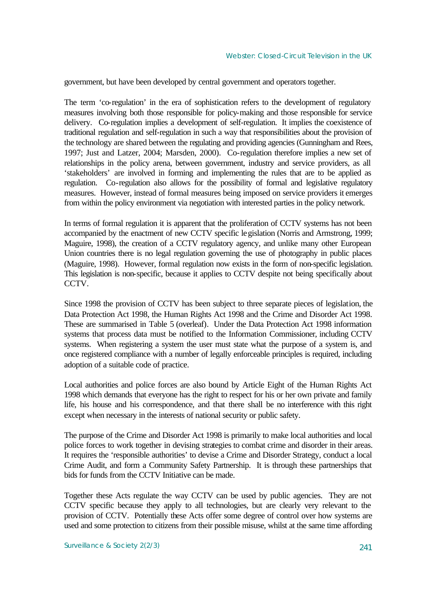government, but have been developed by central government and operators together.

The term 'co-regulation' in the era of sophistication refers to the development of regulatory measures involving both those responsible for policy-making and those responsible for service delivery. Co-regulation implies a development of self-regulation. It implies the coexistence of traditional regulation and self-regulation in such a way that responsibilities about the provision of the technology are shared between the regulating and providing agencies (Gunningham and Rees, 1997; Just and Latzer, 2004; Marsden, 2000). Co-regulation therefore implies a new set of relationships in the policy arena, between government, industry and service providers, as all 'stakeholders' are involved in forming and implementing the rules that are to be applied as regulation. Co-regulation also allows for the possibility of formal and legislative regulatory measures. However, instead of formal measures being imposed on service providers it emerges from within the policy environment via negotiation with interested parties in the policy network.

In terms of formal regulation it is apparent that the proliferation of CCTV systems has not been accompanied by the enactment of new CCTV specific legislation (Norris and Armstrong, 1999; Maguire, 1998), the creation of a CCTV regulatory agency, and unlike many other European Union countries there is no legal regulation governing the use of photography in public places (Maguire, 1998). However, formal regulation now exists in the form of non-specific legislation. This legislation is non-specific, because it applies to CCTV despite not being specifically about CCTV.

Since 1998 the provision of CCTV has been subject to three separate pieces of legislation, the Data Protection Act 1998, the Human Rights Act 1998 and the Crime and Disorder Act 1998. These are summarised in Table 5 (overleaf). Under the Data Protection Act 1998 information systems that process data must be notified to the Information Commissioner, including CCTV systems. When registering a system the user must state what the purpose of a system is, and once registered compliance with a number of legally enforceable principles is required, including adoption of a suitable code of practice.

Local authorities and police forces are also bound by Article Eight of the Human Rights Act 1998 which demands that everyone has the right to respect for his or her own private and family life, his house and his correspondence, and that there shall be no interference with this right except when necessary in the interests of national security or public safety.

The purpose of the Crime and Disorder Act 1998 is primarily to make local authorities and local police forces to work together in devising strategies to combat crime and disorder in their areas. It requires the 'responsible authorities' to devise a Crime and Disorder Strategy, conduct a local Crime Audit, and form a Community Safety Partnership. It is through these partnerships that bids for funds from the CCTV Initiative can be made.

Together these Acts regulate the way CCTV can be used by public agencies. They are not CCTV specific because they apply to all technologies, but are clearly very relevant to the provision of CCTV. Potentially these Acts offer some degree of control over how systems are used and some protection to citizens from their possible misuse, whilst at the same time affording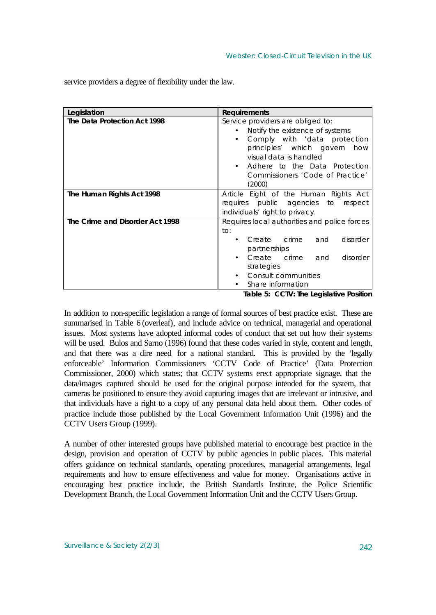| Legislation                     | <b>Requirements</b>                                                                                                                                                                                                                                                                     |  |
|---------------------------------|-----------------------------------------------------------------------------------------------------------------------------------------------------------------------------------------------------------------------------------------------------------------------------------------|--|
| The Data Protection Act 1998    | Service providers are obliged to:<br>Notify the existence of systems<br>$\bullet$<br>Comply with 'data protection<br>$\bullet$<br>principles' which govern<br>how<br>visual data is handled<br>Adhere to the Data Protection<br>$\bullet$<br>Commissioners 'Code of Practice'<br>(2000) |  |
| The Human Rights Act 1998       | Article Eight of the Human Rights Act                                                                                                                                                                                                                                                   |  |
|                                 | requires public agencies to respect                                                                                                                                                                                                                                                     |  |
|                                 | individuals' right to privacy.                                                                                                                                                                                                                                                          |  |
| The Crime and Disorder Act 1998 | Requires local authorities and police forces                                                                                                                                                                                                                                            |  |
|                                 | to:                                                                                                                                                                                                                                                                                     |  |
|                                 | Create crime<br>disorder<br>and                                                                                                                                                                                                                                                         |  |
|                                 | partnerships                                                                                                                                                                                                                                                                            |  |
|                                 | Create crime<br>disorder<br>and                                                                                                                                                                                                                                                         |  |
|                                 | strategies                                                                                                                                                                                                                                                                              |  |
|                                 | <b>Consult communities</b>                                                                                                                                                                                                                                                              |  |
|                                 | Share information                                                                                                                                                                                                                                                                       |  |

service providers a degree of flexibility under the law.

**Table 5:** *CCTV: The Legislative Position*

In addition to non-specific legislation a range of formal sources of best practice exist. These are summarised in Table 6 (overleaf), and include advice on technical, managerial and operational issues. Most systems have adopted informal codes of conduct that set out how their systems will be used. Bulos and Sarno (1996) found that these codes varied in style, content and length, and that there was a dire need for a national standard. This is provided by the 'legally enforceable' Information Commissioners 'CCTV Code of Practice' (Data Protection Commissioner, 2000) which states; that CCTV systems erect appropriate signage, that the data/images captured should be used for the original purpose intended for the system, that cameras be positioned to ensure they avoid capturing images that are irrelevant or intrusive, and that individuals have a right to a copy of any personal data held about them. Other codes of practice include those published by the Local Government Information Unit (1996) and the CCTV Users Group (1999).

A number of other interested groups have published material to encourage best practice in the design, provision and operation of CCTV by public agencies in public places. This material offers guidance on technical standards, operating procedures, managerial arrangements, legal requirements and how to ensure effectiveness and value for money. Organisations active in encouraging best practice include, the British Standards Institute, the Police Scientific Development Branch, the Local Government Information Unit and the CCTV Users Group.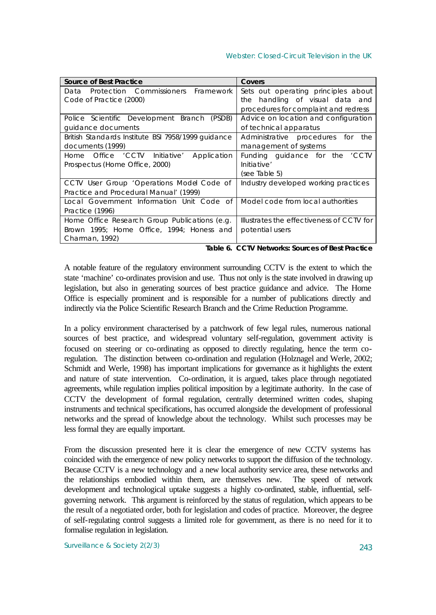### Webster: Closed-Circuit Television in the UK

| <b>Source of Best Practice</b>                     | Covers                                    |
|----------------------------------------------------|-------------------------------------------|
| Data Protection Commissioners Framework            | Sets out operating principles about       |
| Code of Practice (2000)                            | the handling of visual data and           |
|                                                    | procedures for complaint and redress      |
| Police Scientific Development Branch (PSDB)        | Advice on location and configuration      |
| guidance documents                                 | of technical apparatus                    |
| British Standards Institute BSI 7958/1999 guidance | Administrative procedures for<br>the      |
| documents (1999)                                   | management of systems                     |
| Home Office 'CCTV Initiative'<br>Application       | Funding guidance for the 'CCTV            |
| Prospectus (Home Office, 2000)                     | Initiative'                               |
|                                                    | (see Table 5)                             |
| CCTV User Group 'Operations Mode Code of           | Industry developed working practices      |
| Practice and Procedural Manual' (1999)             |                                           |
| Local Government Information Unit Code of          | Model code from local authorities         |
| Practice (1996)                                    |                                           |
| Home Office Research Group Publications (e.g.      | Illustrates the effectiveness of CCTV for |
| Brown 1995; Home Office, 1994; Honess and          | potential users                           |
| Charman, 1992)                                     |                                           |

*Table 6. CCTV Networks: Sources of Best Practice*

A notable feature of the regulatory environment surrounding CCTV is the extent to which the state 'machine' co-ordinates provision and use. Thus not only is the state involved in drawing up legislation, but also in generating sources of best practice guidance and advice. The Home Office is especially prominent and is responsible for a number of publications directly and indirectly via the Police Scientific Research Branch and the Crime Reduction Programme.

In a policy environment characterised by a patchwork of few legal rules, numerous national sources of best practice, and widespread voluntary self-regulation, government activity is focused on steering or co-ordinating as opposed to directly regulating, hence the term coregulation. The distinction between co-ordination and regulation (Holznagel and Werle, 2002; Schmidt and Werle, 1998) has important implications for governance as it highlights the extent and nature of state intervention. Co-ordination, it is argued, takes place through negotiated agreements, while regulation implies political imposition by a legitimate authority. In the case of CCTV the development of formal regulation, centrally determined written codes, shaping instruments and technical specifications, has occurred alongside the development of professional networks and the spread of knowledge about the technology. Whilst such processes may be less formal they are equally important.

From the discussion presented here it is clear the emergence of new CCTV systems has coincided with the emergence of new policy networks to support the diffusion of the technology. Because CCTV is a new technology and a new local authority service area, these networks and the relationships embodied within them, are themselves new. The speed of network development and technological uptake suggests a highly co-ordinated, stable, influential, selfgoverning network. This argument is reinforced by the status of regulation, which appears to be the result of a negotiated order, both for legislation and codes of practice. Moreover, the degree of self-regulating control suggests a limited role for government, as there is no need for it to formalise regulation in legislation.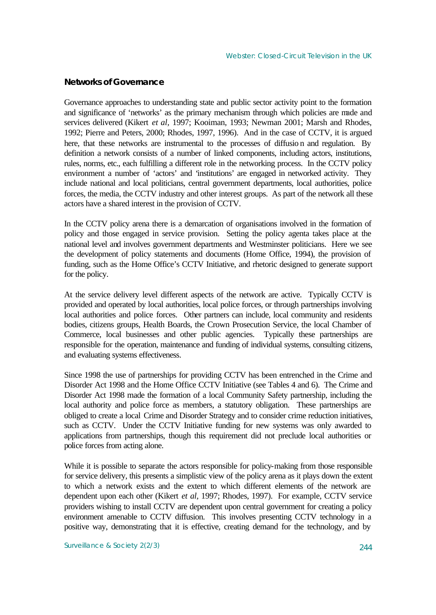## **Networks of Governance**

Governance approaches to understanding state and public sector activity point to the formation and significance of 'networks' as the primary mechanism through which policies are made and services delivered (Kikert *et al,* 1997; Kooiman, 1993; Newman 2001; Marsh and Rhodes, 1992; Pierre and Peters, 2000; Rhodes, 1997, 1996). And in the case of CCTV, it is argued here, that these networks are instrumental to the processes of diffusio n and regulation. By definition a network consists of a number of linked components, including actors, institutions, rules, norms, etc., each fulfilling a different role in the networking process. In the CCTV policy environment a number of 'actors' and 'institutions' are engaged in networked activity. They include national and local politicians, central government departments, local authorities, police forces, the media, the CCTV industry and other interest groups. As part of the network all these actors have a shared interest in the provision of CCTV.

In the CCTV policy arena there is a demarcation of organisations involved in the formation of policy and those engaged in service provision. Setting the policy agenta takes place at the national level and involves government departments and Westminster politicians. Here we see the development of policy statements and documents (Home Office, 1994), the provision of funding, such as the Home Office's CCTV Initiative, and rhetoric designed to generate support for the policy.

At the service delivery level different aspects of the network are active. Typically CCTV is provided and operated by local authorities, local police forces, or through partnerships involving local authorities and police forces. Other partners can include, local community and residents bodies, citizens groups, Health Boards, the Crown Prosecution Service, the local Chamber of Commerce, local businesses and other public agencies. Typically these partnerships are responsible for the operation, maintenance and funding of individual systems, consulting citizens, and evaluating systems effectiveness.

Since 1998 the use of partnerships for providing CCTV has been entrenched in the Crime and Disorder Act 1998 and the Home Office CCTV Initiative (see Tables 4 and 6). The Crime and Disorder Act 1998 made the formation of a local Community Safety partnership, including the local authority and police force as members, a statutory obligation. These partnerships are obliged to create a local Crime and Disorder Strategy and to consider crime reduction initiatives, such as CCTV. Under the CCTV Initiative funding for new systems was only awarded to applications from partnerships, though this requirement did not preclude local authorities or police forces from acting alone.

While it is possible to separate the actors responsible for policy-making from those responsible for service delivery, this presents a simplistic view of the policy arena as it plays down the extent to which a network exists and the extent to which different elements of the network are dependent upon each other (Kikert *et al,* 1997; Rhodes, 1997). For example, CCTV service providers wishing to install CCTV are dependent upon central government for creating a policy environment amenable to CCTV diffusion. This involves presenting CCTV technology in a positive way, demonstrating that it is effective, creating demand for the technology, and by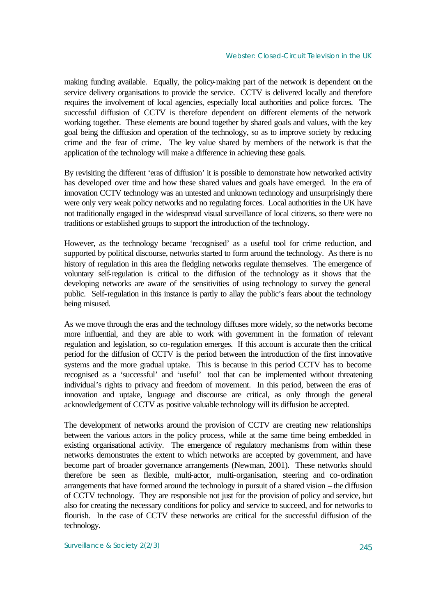making funding available. Equally, the policy-making part of the network is dependent on the service delivery organisations to provide the service. CCTV is delivered locally and therefore requires the involvement of local agencies, especially local authorities and police forces. The successful diffusion of CCTV is therefore dependent on different elements of the network working together. These elements are bound together by shared goals and values, with the key goal being the diffusion and operation of the technology, so as to improve society by reducing crime and the fear of crime. The key value shared by members of the network is that the application of the technology will make a difference in achieving these goals.

By revisiting the different 'eras of diffusion' it is possible to demonstrate how networked activity has developed over time and how these shared values and goals have emerged. In the era of innovation CCTV technology was an untested and unknown technology and unsurprisingly there were only very weak policy networks and no regulating forces. Local authorities in the UK have not traditionally engaged in the widespread visual surveillance of local citizens, so there were no traditions or established groups to support the introduction of the technology.

However, as the technology became 'recognised' as a useful tool for crime reduction, and supported by political discourse, networks started to form around the technology. As there is no history of regulation in this area the fledgling networks regulate themselves. The emergence of voluntary self-regulation is critical to the diffusion of the technology as it shows that the developing networks are aware of the sensitivities of using technology to survey the general public. Self-regulation in this instance is partly to allay the public's fears about the technology being misused.

As we move through the eras and the technology diffuses more widely, so the networks become more influential, and they are able to work with government in the formation of relevant regulation and legislation, so co-regulation emerges. If this account is accurate then the critical period for the diffusion of CCTV is the period between the introduction of the first innovative systems and the more gradual uptake. This is because in this period CCTV has to become recognised as a 'successful' and 'useful' tool that can be implemented without threatening individual's rights to privacy and freedom of movement. In this period, between the eras of innovation and uptake, language and discourse are critical, as only through the general acknowledgement of CCTV as positive valuable technology will its diffusion be accepted.

The development of networks around the provision of CCTV are creating new relationships between the various actors in the policy process, while at the same time being embedded in existing organisational activity. The emergence of regulatory mechanisms from within these networks demonstrates the extent to which networks are accepted by government, and have become part of broader governance arrangements (Newman, 2001). These networks should therefore be seen as flexible, multi-actor, multi-organisation, steering and co-ordination arrangements that have formed around the technology in pursuit of a shared vision – the diffusion of CCTV technology. They are responsible not just for the provision of policy and service, but also for creating the necessary conditions for policy and service to succeed, and for networks to flourish. In the case of CCTV these networks are critical for the successful diffusion of the technology.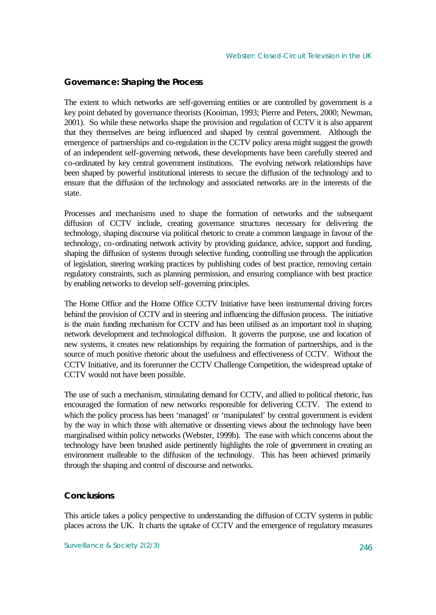## **Governance: Shaping the Process**

The extent to which networks are self-governing entities or are controlled by government is a key point debated by governance theorists (Kooiman, 1993; Pierre and Peters, 2000; Newman, 2001). So while these networks shape the provision and regulation of CCTV it is also apparent that they themselves are being influenced and shaped by central government. Although the emergence of partnerships and co-regulation in the CCTV policy arena might suggest the growth of an independent self-governing network, these developments have been carefully steered and co-ordinated by key central government institutions. The evolving network relationships have been shaped by powerful institutional interests to secure the diffusion of the technology and to ensure that the diffusion of the technology and associated networks are in the interests of the state.

Processes and mechanisms used to shape the formation of networks and the subsequent diffusion of CCTV include, creating governance structures necessary for delivering the technology, shaping discourse via political rhetoric to create a common language in favour of the technology, co-ordinating network activity by providing guidance, advice, support and funding, shaping the diffusion of systems through selective funding, controlling use through the application of legislation, steering working practices by publishing codes of best practice, removing certain regulatory constraints, such as planning permission, and ensuring compliance with best practice by enabling networks to develop self-governing principles.

The Home Office and the Home Office CCTV Initiative have been instrumental driving forces behind the provision of CCTV and in steering and influencing the diffusion process. The initiative is the main funding mechanism for CCTV and has been utilised as an important tool in shaping network development and technological diffusion. It governs the purpose, use and location of new systems, it creates new relationships by requiring the formation of partnerships, and is the source of much positive rhetoric about the usefulness and effectiveness of CCTV. Without the CCTV Initiative, and its forerunner the CCTV Challenge Competition, the widespread uptake of CCTV would not have been possible.

The use of such a mechanism, stimulating demand for CCTV, and allied to political rhetoric, has encouraged the formation of new networks responsible for delivering CCTV. The extend to which the policy process has been 'managed' or 'manipulated' by central government is evident by the way in which those with alternative or dissenting views about the technology have been marginalised within policy networks (Webster, 1999b). The ease with which concerns about the technology have been brushed aside pertinently highlights the role of government in creating an environment malleable to the diffusion of the technology. This has been achieved primarily through the shaping and control of discourse and networks.

## **Conclusions**

This article takes a policy perspective to understanding the diffusion of CCTV systems in public places across the UK. It charts the uptake of CCTV and the emergence of regulatory measures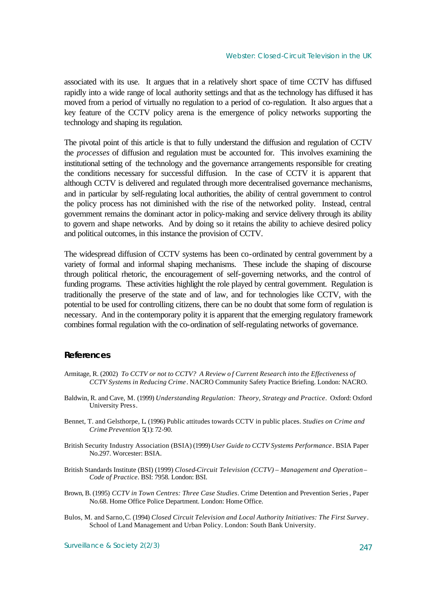associated with its use. It argues that in a relatively short space of time CCTV has diffused rapidly into a wide range of local authority settings and that as the technology has diffused it has moved from a period of virtually no regulation to a period of co-regulation. It also argues that a key feature of the CCTV policy arena is the emergence of policy networks supporting the technology and shaping its regulation.

The pivotal point of this article is that to fully understand the diffusion and regulation of CCTV the *processes* of diffusion and regulation must be accounted for. This involves examining the institutional setting of the technology and the governance arrangements responsible for creating the conditions necessary for successful diffusion. In the case of CCTV it is apparent that although CCTV is delivered and regulated through more decentralised governance mechanisms, and in particular by self-regulating local authorities, the ability of central government to control the policy process has not diminished with the rise of the networked polity. Instead, central government remains the dominant actor in policy-making and service delivery through its ability to govern and shape networks. And by doing so it retains the ability to achieve desired policy and political outcomes, in this instance the provision of CCTV.

The widespread diffusion of CCTV systems has been co-ordinated by central government by a variety of formal and informal shaping mechanisms. These include the shaping of discourse through political rhetoric, the encouragement of self-governing networks, and the control of funding programs. These activities highlight the role played by central government. Regulation is traditionally the preserve of the state and of law, and for technologies like CCTV, with the potential to be used for controlling citizens, there can be no doubt that some form of regulation is necessary. And in the contemporary polity it is apparent that the emerging regulatory framework combines formal regulation with the co-ordination of self-regulating networks of governance.

## **References**

- Armitage, R. (2002) *To CCTV or not to CCTV? A Review o f Current Research into the Effectiveness of CCTV Systems in Reducing Crime*. NACRO Community Safety Practice Briefing. London: NACRO.
- Baldwin, R. and Cave, M. (1999) *Understanding Regulation: Theory, Strategy and Practice*. Oxford: Oxford University Press.
- Bennet, T. and Gelsthorpe, L. (1996) Public attitudes towards CCTV in public places. *Studies on Crime and Crime Prevention* 5(1): 72-90.
- British Security Industry Association (BSIA) (1999) *User Guide to CCTV Systems Performance*. BSIA Paper No.297. Worcester: BSIA.
- British Standards Institute (BSI) (1999) *Closed-Circuit Television (CCTV) Management and Operation – Code of Practice*. BSI: 7958. London: BSI.
- Brown, B. (1995) *CCTV in Town Centres: Three Case Studies*. Crime Detention and Prevention Series, Paper No.68. Home Office Police Department. London: Home Office.
- Bulos, M. and Sarno,C. (1994) *Closed Circuit Television and Local Authority Initiatives: The First Survey*. School of Land Management and Urban Policy. London: South Bank University.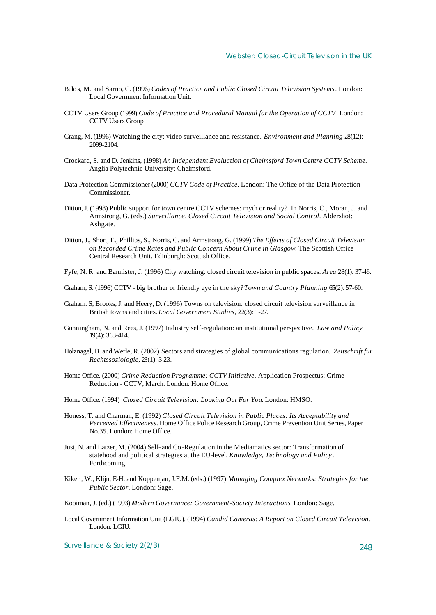- Bulos, M. and Sarno, C. (1996) *Codes of Practice and Public Closed Circuit Television Systems*. London: Local Government Information Unit.
- CCTV Users Group (1999) *Code of Practice and Procedural Manual for the Operation of CCTV*. London: CCTV Users Group
- Crang, M. (1996) Watching the city: video surveillance and resistance. *Environment and Planning* 28(12): 2099-2104.
- Crockard, S. and D. Jenkins, (1998) *An Independent Evaluation of Chelmsford Town Centre CCTV Scheme*. Anglia Polytechnic University: Chelmsford.
- Data Protection Commissioner (2000) *CCTV Code of Practice*. London: The Office of the Data Protection Commissioner.
- Ditton, J. (1998) Public support for town centre CCTV schemes: myth or reality? In Norris, C., Moran, J. and Armstrong, G. (eds.) *Surveillance, Closed Circuit Television and Social Control*. Aldershot: Ashgate.
- Ditton, J., Short, E., Phillips, S., Norris, C. and Armstrong, G. (1999) *The Effects of Closed Circuit Television on Recorded Crime Rates and Public Concern About Crime in Glasgow*. The Scottish Office Central Research Unit. Edinburgh: Scottish Office.
- Fyfe, N. R. and Bannister, J. (1996) City watching: closed circuit television in public spaces. *Area* 28(1): 37-46.
- Graham, S. (1996) CCTV big brother or friendly eye in the sky? *Town and Country Planning* 65(2): 57-60.
- Graham. S, Brooks, J. and Heery, D. (1996) Towns on television: closed circuit television surveillance in British towns and cities. *Local Government Studies,* 22(3): 1-27.
- Gunningham, N. and Rees, J. (1997) Industry self-regulation: an institutional perspective. *Law and Policy* 19(4): 363-414.
- Holznagel, B. and Werle, R. (2002) Sectors and strategies of global communications regulation*. Zeitschrift fur Rechtssoziologie,* 23(1): 3-23.
- Home Office. (2000) *Crime Reduction Programme: CCTV Initiative*. Application Prospectus: Crime Reduction - CCTV, March. London: Home Office.
- Home Office. (1994) *Closed Circuit Television: Looking Out For You*. London: HMSO.
- Honess, T. and Charman, E. (1992) *Closed Circuit Television in Public Places: Its Acceptability and Perceived Effectiveness*. Home Office Police Research Group, Crime Prevention Unit Series, Paper No.35. London: Home Office.
- Just, N. and Latzer, M. (2004) Self- and Co -Regulation in the Mediamatics sector: Transformation of statehood and political strategies at the EU-level. *Knowledge, Technology and Policy*. Forthcoming.
- Kikert, W., Klijn, E-H. and Koppenjan, J.F.M. (eds.) (1997) *Managing Complex Networks: Strategies for the Public Sector*. London: Sage.
- Kooiman, J. (ed.) (1993) *Modern Governance: Government-Society Interactions*. London: Sage.
- Local Government Information Unit (LGIU). (1994) *Candid Cameras: A Report on Closed Circuit Television*. London: LGIU.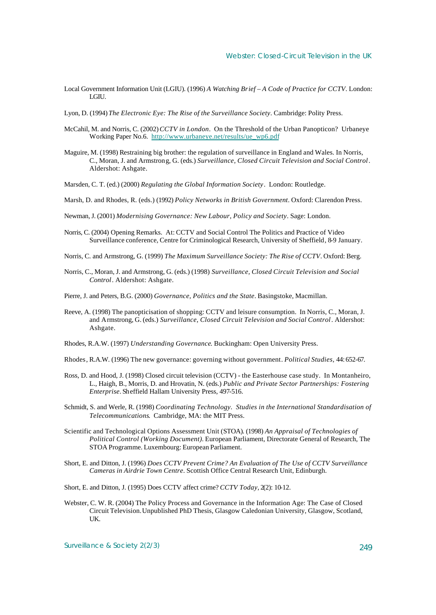- Local Government Information Unit (LGIU). (1996) *A Watching Brief A Code of Practice for CCTV*. London: LGIU.
- Lyon, D. (1994) *The Electronic Eye: The Rise of the Surveillance Society*. Cambridge: Polity Press.
- McCahil, M. and Norris, C. (2002) *CCTV in London*. On the Threshold of the Urban Panopticon? Urbaneye Working Paper No.6. [http://www.urbaneye.net/results/ue\\_wp6.pdf](http://www.urbaneye.net/results/ue_wp6.pdf)
- Maguire, M. (1998) Restraining big brother: the regulation of surveillance in England and Wales. In Norris, C., Moran, J. and Armstrong, G. (eds.) *Surveillance, Closed Circuit Television and Social Control*. Aldershot: Ashgate.
- Marsden, C. T. (ed.) (2000) *Regulating the Global Information Society*. London: Routledge.
- Marsh, D. and Rhodes, R. (eds.) (1992) *Policy Networks in British Government*. Oxford: Clarendon Press.
- Newman, J. (2001) *Modernising Governance: New Labour, Policy and Society*. Sage: London.
- Norris, C. (2004) Opening Remarks. At: CCTV and Social Control The Politics and Practice of Video Surveillance conference, Centre for Criminological Research, University of Sheffield, 8-9 January.
- Norris, C. and Armstrong, G. (1999) *The Maximum Surveillance Society: The Rise of CCTV*. Oxford: Berg.
- Norris, C., Moran, J. and Armstrong, G. (eds.) (1998) *Surveillance, Closed Circuit Television and Social Control*. Aldershot: Ashgate.
- Pierre, J. and Peters, B.G. (2000) *Governance, Politics and the State*. Basingstoke, Macmillan.
- Reeve, A. (1998) The panopticisation of shopping: CCTV and leisure consumption. In Norris, C., Moran, J. and Armstrong, G. (eds.) *Surveillance, Closed Circuit Television and Social Control*. Aldershot: Ashgate.
- Rhodes, R.A.W. (1997) *Understanding Governance*. Buckingham: Open University Press.
- Rhodes, R.A.W. (1996) The new governance: governing without government*. Political Studies,* 44: 652-67.
- Ross, D. and Hood, J. (1998) Closed circuit television (CCTV) the Easterhouse case study. In Montanheiro, L., Haigh, B., Morris, D. and Hrovatin, N. (eds.) *Public and Private Sector Partnerships: Fostering Enterprise*. Sheffield Hallam University Press, 497-516.
- Schmidt, S. and Werle, R. (1998) *Coordinating Technology. Studies in the International Standardisation of Telecommunications*. Cambridge, MA: the MIT Press.
- Scientific and Technological Options Assessment Unit (STOA). (1998) *An Appraisal of Technologies of Political Control (Working Document).* European Parliament, Directorate General of Research, The STOA Programme. Luxembourg: European Parliament.
- Short, E. and Ditton, J. (1996) *Does CCTV Prevent Crime? An Evaluation of The Use of CCTV Surveillance Cameras in Airdrie Town Centre*. Scottish Office Central Research Unit, Edinburgh.
- Short, E. and Ditton, J. (1995) Does CCTV affect crime? *CCTV Today,* 2(2): 10-12.
- Webster, C. W. R. (2004) The Policy Process and Governance in the Information Age: The Case of Closed Circuit Television.Unpublished PhD Thesis, Glasgow Caledonian University, Glasgow, Scotland, UK.